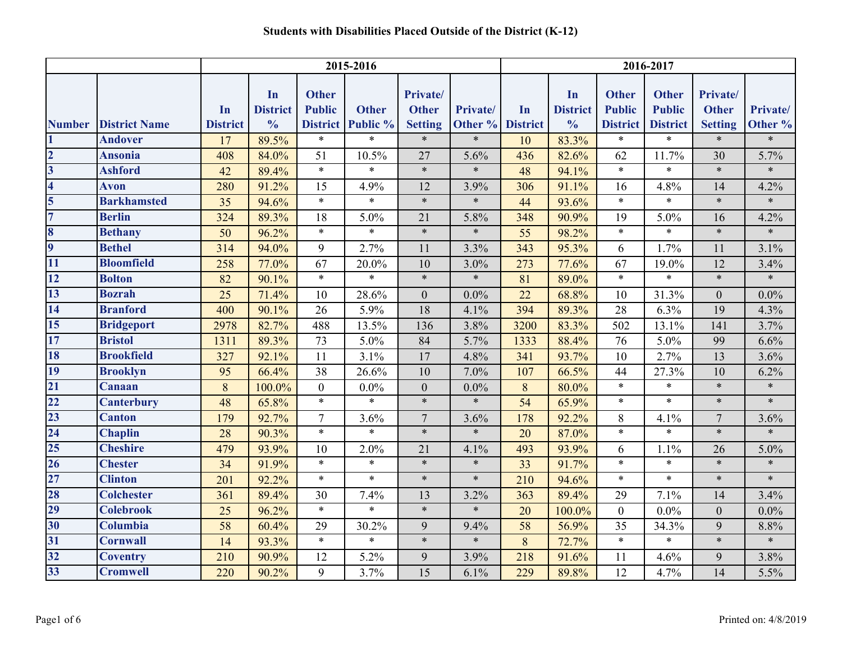|                         |                      | 2015-2016       |                       |                               |              |                          |          | 2016-2017       |                       |                               |                               |                          |          |  |
|-------------------------|----------------------|-----------------|-----------------------|-------------------------------|--------------|--------------------------|----------|-----------------|-----------------------|-------------------------------|-------------------------------|--------------------------|----------|--|
|                         |                      | In              | In<br><b>District</b> | <b>Other</b><br><b>Public</b> | <b>Other</b> | Private/<br><b>Other</b> | Private/ | In              | In<br><b>District</b> | <b>Other</b><br><b>Public</b> | <b>Other</b><br><b>Public</b> | Private/<br><b>Other</b> | Private/ |  |
| <b>Number</b>           | <b>District Name</b> | <b>District</b> | $\frac{0}{0}$         | <b>District</b>               | Public %     | <b>Setting</b>           | Other %  | <b>District</b> | $\frac{0}{0}$         | <b>District</b>               | <b>District</b>               | <b>Setting</b>           | Other %  |  |
| $\mathbf{1}$            | <b>Andover</b>       | 17              | 89.5%                 | $\ast$                        | $\ast$       | $\ast$                   | $\ast$   | 10              | 83.3%                 | $\ast$                        | $\ast$                        | $\ast$                   | $\ast$   |  |
| $\overline{2}$          | <b>Ansonia</b>       | 408             | 84.0%                 | 51                            | 10.5%        | 27                       | 5.6%     | 436             | 82.6%                 | 62                            | 11.7%                         | 30                       | 5.7%     |  |
| $\overline{\mathbf{3}}$ | <b>Ashford</b>       | 42              | 89.4%                 | $\ast$                        | $\ast$       | $\ast$                   | $\ast$   | 48              | 94.1%                 | $\ast$                        | $\ast$                        | $\ast$                   | $\ast$   |  |
| $\overline{\mathbf{4}}$ | <b>Avon</b>          | 280             | 91.2%                 | 15                            | 4.9%         | 12                       | 3.9%     | 306             | 91.1%                 | 16                            | 4.8%                          | 14                       | 4.2%     |  |
| 5                       | <b>Barkhamsted</b>   | $\overline{35}$ | 94.6%                 | $*$                           | $\ast$       | $\ast$                   | $\ast$   | 44              | 93.6%                 | $\ast$                        | $\ast$                        | $\ast$                   | $\ast$   |  |
| $\overline{7}$          | <b>Berlin</b>        | 324             | 89.3%                 | 18                            | 5.0%         | 21                       | 5.8%     | 348             | 90.9%                 | 19                            | 5.0%                          | 16                       | 4.2%     |  |
| 8                       | <b>Bethany</b>       | 50              | 96.2%                 | $\ast$                        | $\ast$       | $\ast$                   | $\ast$   | 55              | 98.2%                 | $\ast$                        | $\ast$                        | $\ast$                   | $\ast$   |  |
| $\overline{9}$          | <b>Bethel</b>        | 314             | 94.0%                 | 9                             | 2.7%         | 11                       | 3.3%     | 343             | 95.3%                 | 6                             | 1.7%                          | 11                       | 3.1%     |  |
| 11                      | <b>Bloomfield</b>    | 258             | 77.0%                 | 67                            | 20.0%        | 10                       | 3.0%     | 273             | 77.6%                 | 67                            | 19.0%                         | 12                       | 3.4%     |  |
| 12                      | <b>Bolton</b>        | 82              | 90.1%                 | $\ast$                        | $\ast$       | $\ast$                   | $\ast$   | 81              | 89.0%                 | $\ast$                        | $\ast$                        | $\ast$                   | $\ast$   |  |
| 13                      | <b>Bozrah</b>        | 25              | 71.4%                 | 10                            | 28.6%        | $\boldsymbol{0}$         | $0.0\%$  | 22              | 68.8%                 | 10                            | 31.3%                         | $\overline{0}$           | $0.0\%$  |  |
| 14                      | <b>Branford</b>      | 400             | 90.1%                 | 26                            | 5.9%         | 18                       | 4.1%     | 394             | 89.3%                 | 28                            | 6.3%                          | 19                       | 4.3%     |  |
| 15                      | <b>Bridgeport</b>    | 2978            | 82.7%                 | 488                           | 13.5%        | 136                      | 3.8%     | 3200            | 83.3%                 | 502                           | 13.1%                         | 141                      | 3.7%     |  |
| 17                      | <b>Bristol</b>       | 1311            | 89.3%                 | 73                            | 5.0%         | 84                       | 5.7%     | 1333            | 88.4%                 | 76                            | 5.0%                          | 99                       | 6.6%     |  |
| 18                      | <b>Brookfield</b>    | 327             | 92.1%                 | 11                            | 3.1%         | $\overline{17}$          | 4.8%     | 341             | 93.7%                 | 10                            | 2.7%                          | 13                       | 3.6%     |  |
| 19                      | <b>Brooklyn</b>      | 95              | 66.4%                 | 38                            | 26.6%        | 10                       | 7.0%     | 107             | 66.5%                 | 44                            | 27.3%                         | 10                       | 6.2%     |  |
| 21                      | Canaan               | $8\,$           | 100.0%                | $\mathbf{0}$                  | $0.0\%$      | $\boldsymbol{0}$         | $0.0\%$  | $8\phantom{1}$  | 80.0%                 | $\ast$                        | $\ast$                        | $\ast$                   | $\ast$   |  |
| $\overline{22}$         | <b>Canterbury</b>    | 48              | 65.8%                 | $\ast$                        | $\ast$       | $\ast$                   | $\ast$   | $\overline{54}$ | 65.9%                 | $\ast$                        | $\ast$                        | $\ast$                   | $\ast$   |  |
| 23                      | <b>Canton</b>        | 179             | 92.7%                 | $\overline{7}$                | 3.6%         | $\overline{7}$           | 3.6%     | 178             | 92.2%                 | 8                             | 4.1%                          | $\overline{7}$           | 3.6%     |  |
| 24                      | <b>Chaplin</b>       | 28              | 90.3%                 | $\ast$                        | $\ast$       | $\ast$                   | $\ast$   | 20              | 87.0%                 | $\ast$                        | $\ast$                        | $\ast$                   | $\ast$   |  |
| 25                      | <b>Cheshire</b>      | 479             | 93.9%                 | 10                            | 2.0%         | 21                       | 4.1%     | 493             | 93.9%                 | 6                             | 1.1%                          | 26                       | 5.0%     |  |
| 26                      | <b>Chester</b>       | 34              | 91.9%                 | $\ast$                        | $\ast$       | $\ast$                   | $\ast$   | 33              | 91.7%                 | $\ast$                        | $\ast$                        | $\ast$                   | $\ast$   |  |
| 27                      | <b>Clinton</b>       | 201             | 92.2%                 | $\ast$                        | $\ast$       | $\ast$                   | $\ast$   | 210             | 94.6%                 | $\ast$                        | $\ast$                        | $\ast$                   | $\ast$   |  |
| 28                      | <b>Colchester</b>    | 361             | 89.4%                 | 30                            | 7.4%         | 13                       | 3.2%     | 363             | 89.4%                 | 29                            | 7.1%                          | 14                       | 3.4%     |  |
| 29                      | <b>Colebrook</b>     | 25              | 96.2%                 | $\ast$                        | $\ast$       | $\ast$                   | $\ast$   | 20              | 100.0%                | $\boldsymbol{0}$              | $0.0\%$                       | $\overline{0}$           | $0.0\%$  |  |
| 30                      | Columbia             | 58              | 60.4%                 | 29                            | 30.2%        | 9                        | 9.4%     | 58              | 56.9%                 | 35                            | 34.3%                         | 9                        | 8.8%     |  |
| 31                      | <b>Cornwall</b>      | 14              | 93.3%                 | $\ast$                        | $\ast$       | $\ast$                   | $\ast$   | 8               | 72.7%                 | $\ast$                        | $\ast$                        | $\ast$                   | $\ast$   |  |
| 32                      | <b>Coventry</b>      | 210             | 90.9%                 | 12                            | 5.2%         | 9                        | 3.9%     | 218             | 91.6%                 | 11                            | 4.6%                          | 9                        | 3.8%     |  |
| 33                      | <b>Cromwell</b>      | 220             | 90.2%                 | 9                             | 3.7%         | 15                       | 6.1%     | 229             | 89.8%                 | 12                            | 4.7%                          | 14                       | 5.5%     |  |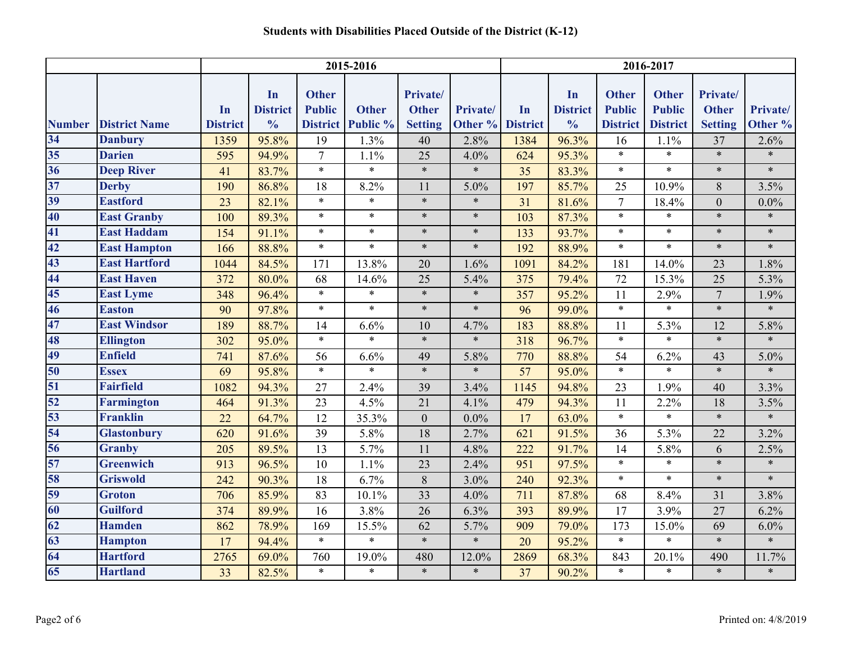|               |                      | 2015-2016       |                       |                               |              |                          |          |                 | 2016-2017             |                               |                               |                          |          |  |
|---------------|----------------------|-----------------|-----------------------|-------------------------------|--------------|--------------------------|----------|-----------------|-----------------------|-------------------------------|-------------------------------|--------------------------|----------|--|
|               |                      | In              | In<br><b>District</b> | <b>Other</b><br><b>Public</b> | <b>Other</b> | Private/<br><b>Other</b> | Private/ | In              | In<br><b>District</b> | <b>Other</b><br><b>Public</b> | <b>Other</b><br><b>Public</b> | Private/<br><b>Other</b> | Private/ |  |
| <b>Number</b> | <b>District Name</b> | <b>District</b> | $\frac{0}{0}$         | <b>District</b>               | Public %     | <b>Setting</b>           | Other %  | <b>District</b> | $\frac{0}{0}$         | <b>District</b>               | <b>District</b>               | <b>Setting</b>           | Other %  |  |
| 34            | <b>Danbury</b>       | 1359            | 95.8%                 | 19                            | 1.3%         | 40                       | 2.8%     | 1384            | 96.3%                 | 16                            | 1.1%                          | 37                       | 2.6%     |  |
| 35            | <b>Darien</b>        | 595             | 94.9%                 | $\tau$                        | 1.1%         | 25                       | 4.0%     | 624             | 95.3%                 | $\ast$                        | $\ast$                        | $\ast$                   | $\ast$   |  |
| 36            | <b>Deep River</b>    | 41              | 83.7%                 | $\ast$                        | $\ast$       | $\ast$                   | $\ast$   | 35              | 83.3%                 | $\ast$                        | $\ast$                        | $\ast$                   | $\ast$   |  |
| 37            | <b>Derby</b>         | 190             | 86.8%                 | 18                            | 8.2%         | 11                       | 5.0%     | 197             | 85.7%                 | 25                            | 10.9%                         | $8\,$                    | 3.5%     |  |
| 39            | <b>Eastford</b>      | 23              | 82.1%                 | $\ast$                        | $\ast$       | $\ast$                   | $\ast$   | 31              | 81.6%                 | $\overline{7}$                | 18.4%                         | $\boldsymbol{0}$         | $0.0\%$  |  |
| 40            | <b>East Granby</b>   | 100             | 89.3%                 | $\ast$                        | $\ast$       | $\ast$                   | $\ast$   | 103             | 87.3%                 | $\ast$                        | $\ast$                        | $\ast$                   | $\ast$   |  |
| 41            | <b>East Haddam</b>   | 154             | 91.1%                 | $\ast$                        | $\ast$       | $\ast$                   | $\ast$   | 133             | 93.7%                 | $\ast$                        | $\ast$                        | $\ast$                   | $\ast$   |  |
| 42            | <b>East Hampton</b>  | 166             | 88.8%                 | $\ast$                        | $\ast$       | $\ast$                   | $\ast$   | 192             | 88.9%                 | $\ast$                        | $\ast$                        | $\ast$                   | $\ast$   |  |
| 43            | <b>East Hartford</b> | 1044            | 84.5%                 | 171                           | 13.8%        | 20                       | 1.6%     | 1091            | 84.2%                 | 181                           | 14.0%                         | 23                       | 1.8%     |  |
| 44            | <b>East Haven</b>    | 372             | 80.0%                 | 68                            | 14.6%        | 25                       | 5.4%     | 375             | 79.4%                 | 72                            | 15.3%                         | 25                       | 5.3%     |  |
| 45            | <b>East Lyme</b>     | 348             | 96.4%                 | $\ast$                        | $\ast$       | $\ast$                   | $\ast$   | 357             | 95.2%                 | 11                            | 2.9%                          | $\tau$                   | 1.9%     |  |
| 46            | <b>Easton</b>        | 90              | 97.8%                 | $\ast$                        | $\ast$       | $\ast$                   | $\ast$   | 96              | 99.0%                 | $\ast$                        | $\ast$                        | $\ast$                   | $\ast$   |  |
| 47            | <b>East Windsor</b>  | 189             | 88.7%                 | 14                            | 6.6%         | 10                       | 4.7%     | 183             | 88.8%                 | 11                            | 5.3%                          | 12                       | 5.8%     |  |
| 48            | <b>Ellington</b>     | 302             | 95.0%                 | $\ast$                        | $\ast$       | $\ast$                   | $\ast$   | 318             | 96.7%                 | $\ast$                        | $\ast$                        | $\ast$                   | $\ast$   |  |
| 49            | <b>Enfield</b>       | 741             | 87.6%                 | 56                            | 6.6%         | 49                       | 5.8%     | 770             | 88.8%                 | 54                            | 6.2%                          | 43                       | 5.0%     |  |
| 50            | <b>Essex</b>         | 69              | 95.8%                 | $\ast$                        | $\ast$       | $\ast$                   | $\ast$   | 57              | 95.0%                 | $\ast$                        | $\ast$                        | $\ast$                   | $\ast$   |  |
| 51            | <b>Fairfield</b>     | 1082            | 94.3%                 | 27                            | 2.4%         | 39                       | 3.4%     | 1145            | 94.8%                 | 23                            | 1.9%                          | 40                       | 3.3%     |  |
| 52            | <b>Farmington</b>    | 464             | 91.3%                 | 23                            | 4.5%         | 21                       | 4.1%     | 479             | 94.3%                 | 11                            | 2.2%                          | 18                       | 3.5%     |  |
| 53            | <b>Franklin</b>      | 22              | 64.7%                 | 12                            | 35.3%        | $\boldsymbol{0}$         | $0.0\%$  | 17              | 63.0%                 | $\ast$                        | $\ast$                        | $\ast$                   | $\ast$   |  |
| 54            | <b>Glastonbury</b>   | 620             | 91.6%                 | 39                            | 5.8%         | 18                       | 2.7%     | 621             | 91.5%                 | 36                            | 5.3%                          | 22                       | 3.2%     |  |
| 56            | <b>Granby</b>        | 205             | 89.5%                 | 13                            | 5.7%         | 11                       | 4.8%     | 222             | 91.7%                 | 14                            | 5.8%                          | 6                        | 2.5%     |  |
| 57            | <b>Greenwich</b>     | 913             | 96.5%                 | 10                            | $1.1\%$      | 23                       | 2.4%     | 951             | 97.5%                 | $\ast$                        | $\ast$                        | $\ast$                   | $\ast$   |  |
| 58            | <b>Griswold</b>      | 242             | 90.3%                 | 18                            | 6.7%         | $\,8\,$                  | 3.0%     | 240             | 92.3%                 | $\ast$                        | $\ast$                        | $\ast$                   | $\ast$   |  |
| 59            | <b>Groton</b>        | 706             | 85.9%                 | 83                            | 10.1%        | 33                       | 4.0%     | 711             | 87.8%                 | 68                            | 8.4%                          | 31                       | 3.8%     |  |
| 60            | <b>Guilford</b>      | 374             | 89.9%                 | 16                            | 3.8%         | 26                       | 6.3%     | 393             | 89.9%                 | 17                            | 3.9%                          | 27                       | 6.2%     |  |
| 62            | <b>Hamden</b>        | 862             | 78.9%                 | 169                           | 15.5%        | 62                       | 5.7%     | 909             | 79.0%                 | 173                           | 15.0%                         | 69                       | 6.0%     |  |
| 63            | <b>Hampton</b>       | 17              | 94.4%                 | $\ast$                        | $\ast$       | $\ast$                   | $\ast$   | 20              | 95.2%                 | $\ast$                        | $\ast$                        | $\ast$                   | $\ast$   |  |
| 64            | <b>Hartford</b>      | 2765            | 69.0%                 | 760                           | 19.0%        | 480                      | 12.0%    | 2869            | 68.3%                 | 843                           | 20.1%                         | 490                      | 11.7%    |  |
| 65            | <b>Hartland</b>      | 33              | 82.5%                 | $\ast$                        | $\ast$       | $\ast$                   | $\ast$   | 37              | 90.2%                 | $\ast$                        | $\ast$                        | $\ast$                   | $\ast$   |  |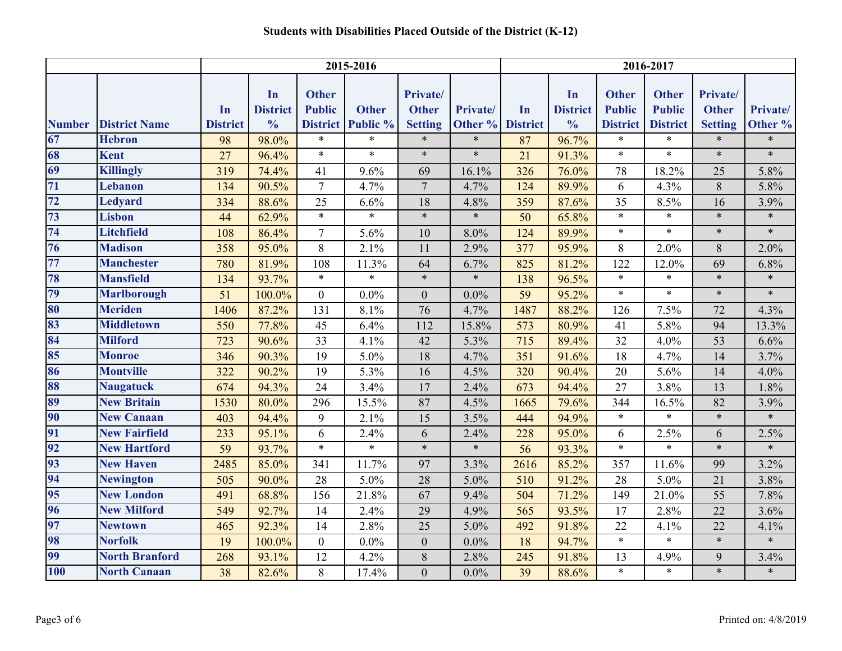|               |                       | 2015-2016       |                       |                               |              |                          |          |                 | 2016-2017             |                               |                               |                          |          |  |
|---------------|-----------------------|-----------------|-----------------------|-------------------------------|--------------|--------------------------|----------|-----------------|-----------------------|-------------------------------|-------------------------------|--------------------------|----------|--|
|               |                       | In              | In<br><b>District</b> | <b>Other</b><br><b>Public</b> | <b>Other</b> | Private/<br><b>Other</b> | Private/ | In              | In<br><b>District</b> | <b>Other</b><br><b>Public</b> | <b>Other</b><br><b>Public</b> | Private/<br><b>Other</b> | Private/ |  |
| <b>Number</b> | <b>District Name</b>  | <b>District</b> | $\frac{0}{0}$         | <b>District</b>               | Public %     | <b>Setting</b>           | Other %  | <b>District</b> | $\frac{0}{0}$         | <b>District</b>               | <b>District</b>               | <b>Setting</b>           | Other %  |  |
| 67            | <b>Hebron</b>         | 98              | 98.0%                 | $\ast$                        | $\ast$       | $\ast$                   | $\ast$   | 87              | 96.7%                 | $\ast$                        | $\ast$                        | $\ast$                   | $\ast$   |  |
| 68            | <b>Kent</b>           | 27              | 96.4%                 | $\ast$                        | $\ast$       | $\ast$                   | $\ast$   | 21              | 91.3%                 | $\ast$                        | $\ast$                        | $\ast$                   | $\ast$   |  |
| 69            | <b>Killingly</b>      | 319             | 74.4%                 | 41                            | 9.6%         | 69                       | 16.1%    | 326             | 76.0%                 | 78                            | 18.2%                         | 25                       | 5.8%     |  |
| 71            | Lebanon               | 134             | 90.5%                 | $\overline{7}$                | 4.7%         | $\overline{7}$           | 4.7%     | 124             | 89.9%                 | 6                             | 4.3%                          | $8\,$                    | 5.8%     |  |
| 72            | <b>Ledyard</b>        | 334             | 88.6%                 | 25                            | 6.6%         | 18                       | 4.8%     | 359             | 87.6%                 | 35                            | 8.5%                          | 16                       | 3.9%     |  |
| 73            | <b>Lisbon</b>         | 44              | 62.9%                 | $\ast$                        | $\ast$       | $\ast$                   | $\ast$   | 50              | 65.8%                 | $\ast$                        | $\ast$                        | $\ast$                   | $\ast$   |  |
| 74            | <b>Litchfield</b>     | 108             | 86.4%                 | 7                             | 5.6%         | 10                       | 8.0%     | 124             | 89.9%                 | $\ast$                        | $\ast$                        | $\ast$                   | $\ast$   |  |
| 76            | <b>Madison</b>        | 358             | 95.0%                 | 8                             | 2.1%         | 11                       | 2.9%     | 377             | 95.9%                 | 8                             | 2.0%                          | 8                        | 2.0%     |  |
| 77            | <b>Manchester</b>     | 780             | 81.9%                 | 108                           | 11.3%        | 64                       | 6.7%     | 825             | 81.2%                 | 122                           | 12.0%                         | 69                       | 6.8%     |  |
| 78            | <b>Mansfield</b>      | 134             | 93.7%                 | $\ast$                        | $\ast$       | $\ast$                   | $\ast$   | 138             | 96.5%                 | $\ast$                        | $\ast$                        | $\ast$                   | $\ast$   |  |
| 79            | <b>Marlborough</b>    | 51              | 100.0%                | $\boldsymbol{0}$              | 0.0%         | $\boldsymbol{0}$         | $0.0\%$  | 59              | 95.2%                 | $\ast$                        | $\ast$                        | $\ast$                   | $\ast$   |  |
| 80            | <b>Meriden</b>        | 1406            | 87.2%                 | 131                           | 8.1%         | 76                       | 4.7%     | 1487            | 88.2%                 | 126                           | 7.5%                          | 72                       | 4.3%     |  |
| 83            | <b>Middletown</b>     | 550             | 77.8%                 | 45                            | 6.4%         | 112                      | 15.8%    | 573             | 80.9%                 | 41                            | 5.8%                          | 94                       | 13.3%    |  |
| 84            | <b>Milford</b>        | 723             | 90.6%                 | 33                            | 4.1%         | 42                       | 5.3%     | 715             | 89.4%                 | 32                            | 4.0%                          | 53                       | 6.6%     |  |
| 85            | <b>Monroe</b>         | 346             | 90.3%                 | 19                            | 5.0%         | 18                       | 4.7%     | 351             | 91.6%                 | 18                            | 4.7%                          | 14                       | 3.7%     |  |
| 86            | <b>Montville</b>      | 322             | 90.2%                 | 19                            | 5.3%         | 16                       | 4.5%     | 320             | 90.4%                 | 20                            | 5.6%                          | 14                       | 4.0%     |  |
| 88            | <b>Naugatuck</b>      | 674             | 94.3%                 | 24                            | 3.4%         | 17                       | 2.4%     | 673             | 94.4%                 | 27                            | 3.8%                          | 13                       | 1.8%     |  |
| 89            | <b>New Britain</b>    | 1530            | 80.0%                 | 296                           | 15.5%        | 87                       | 4.5%     | 1665            | 79.6%                 | 344                           | 16.5%                         | 82                       | 3.9%     |  |
| 90            | <b>New Canaan</b>     | 403             | 94.4%                 | 9                             | 2.1%         | 15                       | 3.5%     | 444             | 94.9%                 | $\ast$                        | $\ast$                        | $\ast$                   | $\ast$   |  |
| 91            | <b>New Fairfield</b>  | 233             | 95.1%                 | 6                             | 2.4%         | 6                        | 2.4%     | 228             | 95.0%                 | 6                             | 2.5%                          | 6                        | 2.5%     |  |
| 92            | <b>New Hartford</b>   | 59              | 93.7%                 | $\ast$                        | $\ast$       | $\ast$                   | $\ast$   | 56              | 93.3%                 | $\ast$                        | $\ast$                        | $\ast$                   | $\ast$   |  |
| 93            | <b>New Haven</b>      | 2485            | 85.0%                 | 341                           | 11.7%        | 97                       | 3.3%     | 2616            | 85.2%                 | 357                           | 11.6%                         | 99                       | 3.2%     |  |
| 94            | <b>Newington</b>      | 505             | 90.0%                 | 28                            | 5.0%         | 28                       | 5.0%     | 510             | 91.2%                 | 28                            | 5.0%                          | 21                       | 3.8%     |  |
| 95            | <b>New London</b>     | 491             | 68.8%                 | 156                           | 21.8%        | 67                       | 9.4%     | 504             | 71.2%                 | 149                           | 21.0%                         | 55                       | 7.8%     |  |
| 96            | <b>New Milford</b>    | 549             | 92.7%                 | 14                            | 2.4%         | 29                       | 4.9%     | 565             | 93.5%                 | 17                            | 2.8%                          | 22                       | 3.6%     |  |
| 97            | <b>Newtown</b>        | 465             | 92.3%                 | 14                            | 2.8%         | 25                       | 5.0%     | 492             | 91.8%                 | 22                            | 4.1%                          | 22                       | 4.1%     |  |
| 98            | <b>Norfolk</b>        | 19              | 100.0%                | $\boldsymbol{0}$              | $0.0\%$      | $\mathbf{0}$             | $0.0\%$  | 18              | 94.7%                 | $\ast$                        | $\ast$                        | $\ast$                   | $\ast$   |  |
| 99            | <b>North Branford</b> | 268             | 93.1%                 | 12                            | 4.2%         | $8\,$                    | 2.8%     | 245             | 91.8%                 | 13                            | 4.9%                          | 9                        | 3.4%     |  |
| <b>100</b>    | <b>North Canaan</b>   | 38              | 82.6%                 | 8                             | 17.4%        | $\overline{0}$           | $0.0\%$  | 39              | 88.6%                 | $\ast$                        | $\ast$                        | $\ast$                   | $\ast$   |  |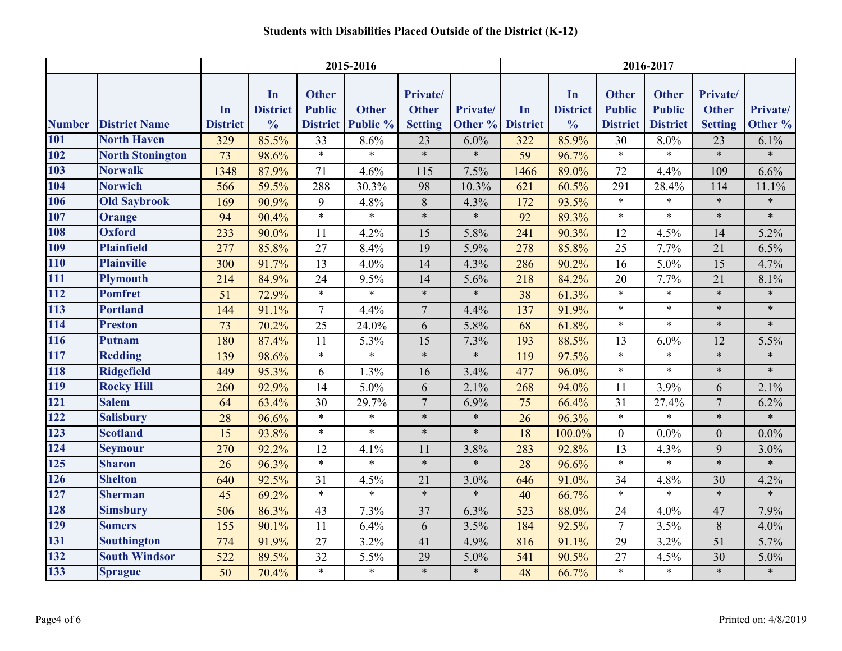|               |                         | 2015-2016       |                 |                 |              |                |          |                 | 2016-2017       |                  |                 |                |          |  |
|---------------|-------------------------|-----------------|-----------------|-----------------|--------------|----------------|----------|-----------------|-----------------|------------------|-----------------|----------------|----------|--|
|               |                         |                 | In              | <b>Other</b>    |              | Private/       |          |                 | In              | <b>Other</b>     | <b>Other</b>    | Private/       |          |  |
|               |                         | In              | <b>District</b> | <b>Public</b>   | <b>Other</b> | <b>Other</b>   | Private/ | In              | <b>District</b> | <b>Public</b>    | <b>Public</b>   | <b>Other</b>   | Private/ |  |
| <b>Number</b> | <b>District Name</b>    | <b>District</b> | $\frac{0}{0}$   | <b>District</b> | Public %     | <b>Setting</b> | Other %  | <b>District</b> | $\frac{0}{0}$   | <b>District</b>  | <b>District</b> | <b>Setting</b> | Other %  |  |
| 101           | <b>North Haven</b>      | 329             | 85.5%           | 33              | 8.6%         | 23             | 6.0%     | 322             | 85.9%           | 30               | 8.0%            | 23             | 6.1%     |  |
| <b>102</b>    | <b>North Stonington</b> | 73              | 98.6%           | $\ast$          | $\ast$       | $\ast$         | $\ast$   | 59              | 96.7%           | $\ast$           | $\ast$          | $\ast$         | $\ast$   |  |
| 103           | <b>Norwalk</b>          | 1348            | 87.9%           | 71              | 4.6%         | 115            | 7.5%     | 1466            | 89.0%           | 72               | 4.4%            | 109            | 6.6%     |  |
| 104           | <b>Norwich</b>          | 566             | 59.5%           | 288             | 30.3%        | 98             | 10.3%    | 621             | 60.5%           | 291              | 28.4%           | 114            | 11.1%    |  |
| 106           | <b>Old Saybrook</b>     | 169             | 90.9%           | 9               | 4.8%         | $\,8\,$        | 4.3%     | 172             | 93.5%           | $\ast$           | $\ast$          | $\ast$         | $\ast$   |  |
| 107           | <b>Orange</b>           | 94              | 90.4%           | $\ast$          | $\ast$       | $\ast$         | $\ast$   | 92              | 89.3%           | $\ast$           | $\ast$          | $\ast$         | $\ast$   |  |
| <b>108</b>    | <b>Oxford</b>           | 233             | 90.0%           | 11              | 4.2%         | 15             | 5.8%     | 241             | 90.3%           | 12               | 4.5%            | 14             | 5.2%     |  |
| 109           | <b>Plainfield</b>       | 277             | 85.8%           | 27              | 8.4%         | 19             | 5.9%     | 278             | 85.8%           | 25               | 7.7%            | 21             | 6.5%     |  |
| 110           | <b>Plainville</b>       | 300             | 91.7%           | 13              | 4.0%         | 14             | 4.3%     | 286             | 90.2%           | 16               | 5.0%            | 15             | 4.7%     |  |
| 111           | <b>Plymouth</b>         | 214             | 84.9%           | 24              | 9.5%         | 14             | 5.6%     | 218             | 84.2%           | 20               | 7.7%            | 21             | 8.1%     |  |
| 112           | <b>Pomfret</b>          | 51              | 72.9%           | $\ast$          | $\ast$       | $\ast$         | $\ast$   | $\overline{38}$ | 61.3%           | $\ast$           | $\ast$          | $\ast$         | $\ast$   |  |
| 113           | <b>Portland</b>         | 144             | 91.1%           | $\overline{7}$  | 4.4%         | $\overline{7}$ | 4.4%     | 137             | 91.9%           | $\ast$           | $\ast$          | $\ast$         | $\ast$   |  |
| 114           | <b>Preston</b>          | 73              | 70.2%           | 25              | 24.0%        | 6              | 5.8%     | 68              | 61.8%           | $\ast$           | $\ast$          | $\ast$         | $\ast$   |  |
| 116           | <b>Putnam</b>           | 180             | 87.4%           | 11              | 5.3%         | 15             | 7.3%     | 193             | 88.5%           | 13               | 6.0%            | 12             | 5.5%     |  |
| 117           | <b>Redding</b>          | 139             | 98.6%           | $\ast$          | $\ast$       | $\ast$         | $\ast$   | 119             | 97.5%           | $\ast$           | $\ast$          | $\ast$         | $\ast$   |  |
| 118           | <b>Ridgefield</b>       | 449             | 95.3%           | 6               | 1.3%         | 16             | 3.4%     | 477             | 96.0%           | $\ast$           | $\ast$          | $\ast$         | $\ast$   |  |
| <b>119</b>    | <b>Rocky Hill</b>       | 260             | 92.9%           | 14              | 5.0%         | 6              | 2.1%     | 268             | 94.0%           | 11               | 3.9%            | 6              | 2.1%     |  |
| 121           | <b>Salem</b>            | 64              | 63.4%           | 30              | 29.7%        | $\overline{7}$ | 6.9%     | 75              | 66.4%           | 31               | 27.4%           | $\overline{7}$ | 6.2%     |  |
| 122           | <b>Salisbury</b>        | 28              | 96.6%           | $\ast$          | $\ast$       | $\ast$         | $\ast$   | 26              | 96.3%           | $\ast$           | $\ast$          | $\ast$         | $\ast$   |  |
| 123           | <b>Scotland</b>         | 15              | 93.8%           | $\ast$          | $\ast$       | $\ast$         | $\ast$   | 18              | 100.0%          | $\boldsymbol{0}$ | $0.0\%$         | $\overline{0}$ | $0.0\%$  |  |
| 124           | <b>Seymour</b>          | 270             | 92.2%           | 12              | 4.1%         | 11             | 3.8%     | 283             | 92.8%           | 13               | 4.3%            | 9              | 3.0%     |  |
| 125           | <b>Sharon</b>           | 26              | 96.3%           | $\ast$          | $\ast$       | $\ast$         | $\ast$   | 28              | 96.6%           | $\ast$           | $\ast$          | $\ast$         | $\ast$   |  |
| 126           | <b>Shelton</b>          | 640             | 92.5%           | 31              | 4.5%         | 21             | 3.0%     | 646             | 91.0%           | 34               | 4.8%            | 30             | 4.2%     |  |
| 127           | <b>Sherman</b>          | 45              | 69.2%           | $\ast$          | $\ast$       | $\ast$         | $\ast$   | 40              | 66.7%           | $\ast$           | $\ast$          | $\ast$         | $\ast$   |  |
| 128           | <b>Simsbury</b>         | 506             | 86.3%           | 43              | 7.3%         | 37             | 6.3%     | 523             | 88.0%           | 24               | 4.0%            | 47             | 7.9%     |  |
| 129           | <b>Somers</b>           | 155             | 90.1%           | 11              | 6.4%         | 6              | 3.5%     | 184             | 92.5%           | $\overline{7}$   | 3.5%            | $8\,$          | 4.0%     |  |
| 131           | <b>Southington</b>      | 774             | 91.9%           | 27              | 3.2%         | 41             | 4.9%     | 816             | 91.1%           | 29               | 3.2%            | 51             | 5.7%     |  |
| 132           | <b>South Windsor</b>    | 522             | 89.5%           | 32              | 5.5%         | 29             | 5.0%     | 541             | 90.5%           | 27               | 4.5%            | 30             | 5.0%     |  |
| 133           | <b>Sprague</b>          | 50              | 70.4%           | $\ast$          | $\ast$       | $\ast$         | $\ast$   | 48              | 66.7%           | $\ast$           | $\ast$          | $\ast$         | $\ast$   |  |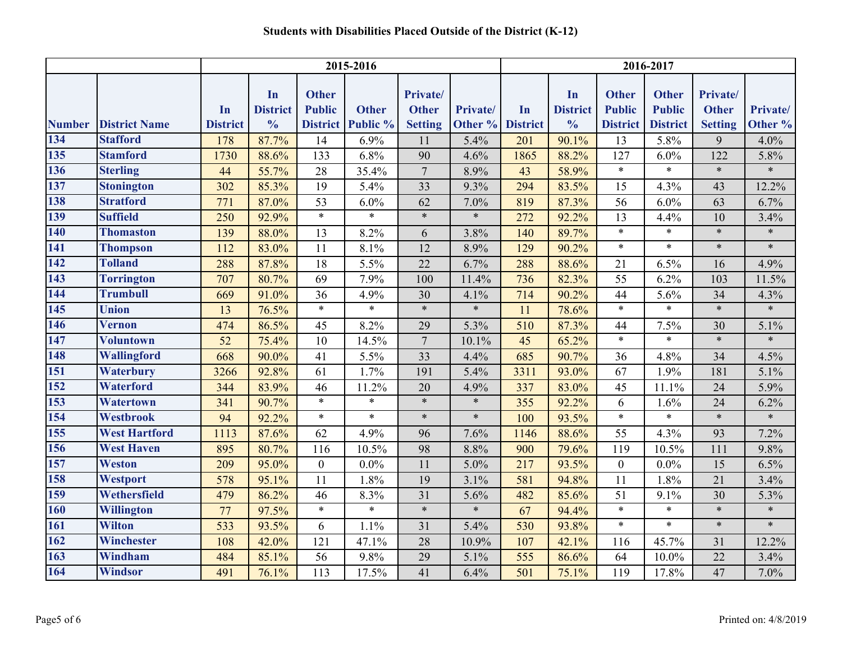|               |                      | 2015-2016       |                 |                  |              |                 |          |                 | 2016-2017       |                  |                 |                 |          |  |
|---------------|----------------------|-----------------|-----------------|------------------|--------------|-----------------|----------|-----------------|-----------------|------------------|-----------------|-----------------|----------|--|
|               |                      |                 | In              | <b>Other</b>     |              | Private/        |          |                 | In              | <b>Other</b>     | <b>Other</b>    | Private/        |          |  |
|               |                      | In              | <b>District</b> | <b>Public</b>    | <b>Other</b> | <b>Other</b>    | Private/ | In              | <b>District</b> | <b>Public</b>    | <b>Public</b>   | <b>Other</b>    | Private/ |  |
| <b>Number</b> | <b>District Name</b> | <b>District</b> | $\frac{0}{0}$   | <b>District</b>  | Public %     | <b>Setting</b>  | Other %  | <b>District</b> | $\frac{0}{0}$   | <b>District</b>  | <b>District</b> | <b>Setting</b>  | Other %  |  |
| 134           | <b>Stafford</b>      | 178             | 87.7%           | 14               | 6.9%         | 11              | 5.4%     | 201             | 90.1%           | 13               | 5.8%            | $\overline{9}$  | 4.0%     |  |
| 135           | <b>Stamford</b>      | 1730            | 88.6%           | 133              | 6.8%         | 90              | 4.6%     | 1865            | 88.2%           | 127              | 6.0%            | 122             | 5.8%     |  |
| 136           | <b>Sterling</b>      | 44              | 55.7%           | 28               | 35.4%        | $\overline{7}$  | 8.9%     | 43              | 58.9%           | $\ast$           | $\ast$          | $\ast$          | $\ast$   |  |
| 137           | <b>Stonington</b>    | 302             | 85.3%           | 19               | 5.4%         | 33              | 9.3%     | 294             | 83.5%           | 15               | 4.3%            | 43              | 12.2%    |  |
| 138           | <b>Stratford</b>     | 771             | 87.0%           | $\overline{53}$  | 6.0%         | $\overline{62}$ | 7.0%     | 819             | 87.3%           | 56               | 6.0%            | $\overline{63}$ | 6.7%     |  |
| 139           | <b>Suffield</b>      | 250             | 92.9%           | $\ast$           | $\ast$       | $\ast$          | $\ast$   | 272             | 92.2%           | 13               | 4.4%            | 10              | 3.4%     |  |
| 140           | <b>Thomaston</b>     | 139             | 88.0%           | 13               | 8.2%         | 6               | 3.8%     | 140             | 89.7%           | $\ast$           | $\ast$          | $\ast$          | $\ast$   |  |
| 141           | <b>Thompson</b>      | 112             | 83.0%           | 11               | 8.1%         | 12              | 8.9%     | 129             | 90.2%           | $\ast$           | $\ast$          | $\ast$          | $\ast$   |  |
| 142           | <b>Tolland</b>       | 288             | 87.8%           | 18               | $5.5\%$      | 22              | 6.7%     | 288             | 88.6%           | 21               | 6.5%            | 16              | 4.9%     |  |
| 143           | <b>Torrington</b>    | 707             | 80.7%           | 69               | 7.9%         | 100             | 11.4%    | 736             | 82.3%           | 55               | 6.2%            | 103             | 11.5%    |  |
| 144           | <b>Trumbull</b>      | 669             | 91.0%           | 36               | 4.9%         | 30              | 4.1%     | 714             | 90.2%           | 44               | 5.6%            | 34              | 4.3%     |  |
| 145           | <b>Union</b>         | 13              | 76.5%           | $\ast$           | $\ast$       | $\ast$          | $\ast$   | 11              | 78.6%           | $\ast$           | $\ast$          | $\ast$          | $\ast$   |  |
| 146           | <b>Vernon</b>        | 474             | 86.5%           | 45               | 8.2%         | 29              | 5.3%     | 510             | 87.3%           | 44               | 7.5%            | 30              | 5.1%     |  |
| 147           | <b>Voluntown</b>     | 52              | 75.4%           | 10               | 14.5%        | $\overline{7}$  | 10.1%    | 45              | 65.2%           | $\ast$           | $\ast$          | $\ast$          | $\ast$   |  |
| 148           | Wallingford          | 668             | 90.0%           | 41               | 5.5%         | $\overline{33}$ | 4.4%     | 685             | 90.7%           | 36               | 4.8%            | 34              | 4.5%     |  |
| 151           | Waterbury            | 3266            | 92.8%           | 61               | 1.7%         | 191             | 5.4%     | 3311            | 93.0%           | 67               | 1.9%            | 181             | 5.1%     |  |
| 152           | Waterford            | 344             | 83.9%           | 46               | 11.2%        | 20              | 4.9%     | 337             | 83.0%           | 45               | 11.1%           | 24              | 5.9%     |  |
| 153           | <b>Watertown</b>     | 341             | 90.7%           | $\ast$           | $\ast$       | $\ast$          | $\ast$   | 355             | 92.2%           | 6                | 1.6%            | 24              | 6.2%     |  |
| 154           | Westbrook            | 94              | 92.2%           | $\ast$           | $\ast$       | $\ast$          | $\ast$   | 100             | 93.5%           | $\ast$           | $\ast$          | $\ast$          | $\ast$   |  |
| 155           | <b>West Hartford</b> | 1113            | 87.6%           | 62               | 4.9%         | 96              | 7.6%     | 1146            | 88.6%           | 55               | 4.3%            | 93              | 7.2%     |  |
| 156           | <b>West Haven</b>    | 895             | 80.7%           | 116              | 10.5%        | 98              | 8.8%     | 900             | 79.6%           | 119              | 10.5%           | 111             | 9.8%     |  |
| 157           | Weston               | 209             | 95.0%           | $\boldsymbol{0}$ | $0.0\%$      | 11              | 5.0%     | 217             | 93.5%           | $\boldsymbol{0}$ | $0.0\%$         | 15              | 6.5%     |  |
| 158           | Westport             | 578             | 95.1%           | 11               | 1.8%         | 19              | 3.1%     | 581             | 94.8%           | 11               | 1.8%            | 21              | 3.4%     |  |
| 159           | Wethersfield         | 479             | 86.2%           | 46               | 8.3%         | 31              | 5.6%     | 482             | 85.6%           | 51               | 9.1%            | 30              | 5.3%     |  |
| 160           | <b>Willington</b>    | 77              | 97.5%           | $\ast$           | $\ast$       | $\ast$          | $\ast$   | 67              | 94.4%           | $\ast$           | $\ast$          | $\ast$          | $\ast$   |  |
| 161           | <b>Wilton</b>        | 533             | 93.5%           | 6                | 1.1%         | 31              | 5.4%     | 530             | 93.8%           | $\ast$           | $\ast$          | $\ast$          | $\ast$   |  |
| 162           | Winchester           | 108             | 42.0%           | 121              | 47.1%        | 28              | 10.9%    | 107             | 42.1%           | 116              | 45.7%           | 31              | 12.2%    |  |
| 163           | Windham              | 484             | 85.1%           | 56               | 9.8%         | 29              | 5.1%     | 555             | 86.6%           | 64               | 10.0%           | 22              | 3.4%     |  |
| 164           | <b>Windsor</b>       | 491             | 76.1%           | 113              | 17.5%        | 41              | 6.4%     | 501             | 75.1%           | 119              | 17.8%           | 47              | 7.0%     |  |